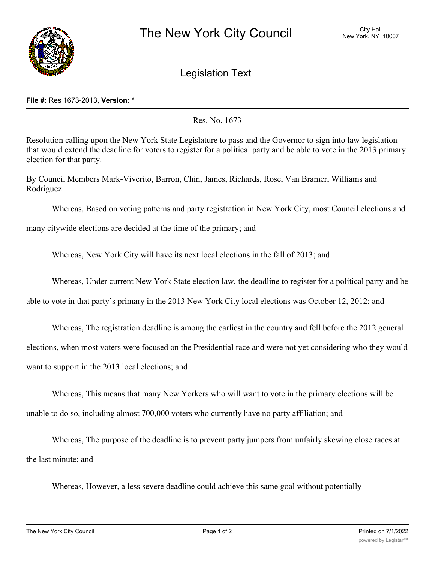

Legislation Text

## **File #:** Res 1673-2013, **Version:** \*

Res. No. 1673

Resolution calling upon the New York State Legislature to pass and the Governor to sign into law legislation that would extend the deadline for voters to register for a political party and be able to vote in the 2013 primary election for that party.

By Council Members Mark-Viverito, Barron, Chin, James, Richards, Rose, Van Bramer, Williams and Rodriguez

Whereas, Based on voting patterns and party registration in New York City, most Council elections and

many citywide elections are decided at the time of the primary; and

Whereas, New York City will have its next local elections in the fall of 2013; and

Whereas, Under current New York State election law, the deadline to register for a political party and be

able to vote in that party's primary in the 2013 New York City local elections was October 12, 2012; and

Whereas, The registration deadline is among the earliest in the country and fell before the 2012 general

elections, when most voters were focused on the Presidential race and were not yet considering who they would

want to support in the 2013 local elections; and

Whereas, This means that many New Yorkers who will want to vote in the primary elections will be unable to do so, including almost 700,000 voters who currently have no party affiliation; and

Whereas, The purpose of the deadline is to prevent party jumpers from unfairly skewing close races at the last minute; and

Whereas, However, a less severe deadline could achieve this same goal without potentially